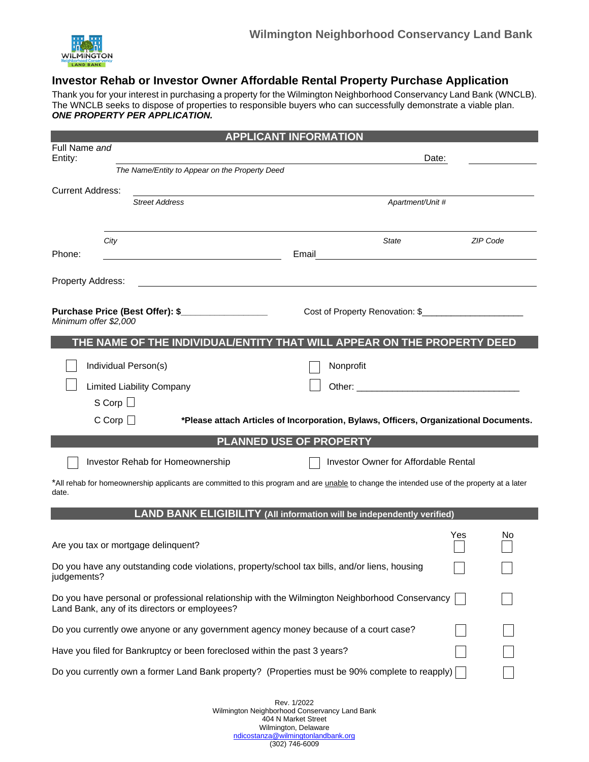

# **Investor Rehab or Investor Owner Affordable Rental Property Purchase Application**

Thank you for your interest in purchasing a property for the Wilmington Neighborhood Conservancy Land Bank (WNCLB). The WNCLB seeks to dispose of properties to responsible buyers who can successfully demonstrate a viable plan. *ONE PROPERTY PER APPLICATION.*

|                                                                                                                                                 |                                                                                                                                            | <b>APPLICANT INFORMATION</b>                                                                                                                                                                                                   |                 |  |  |
|-------------------------------------------------------------------------------------------------------------------------------------------------|--------------------------------------------------------------------------------------------------------------------------------------------|--------------------------------------------------------------------------------------------------------------------------------------------------------------------------------------------------------------------------------|-----------------|--|--|
| Full Name and<br>Entity:                                                                                                                        |                                                                                                                                            |                                                                                                                                                                                                                                | Date:           |  |  |
|                                                                                                                                                 | The Name/Entity to Appear on the Property Deed                                                                                             |                                                                                                                                                                                                                                |                 |  |  |
| <b>Current Address:</b>                                                                                                                         | <b>Street Address</b>                                                                                                                      | Apartment/Unit #                                                                                                                                                                                                               |                 |  |  |
| Phone:                                                                                                                                          | City                                                                                                                                       | State<br>Email                                                                                                                                                                                                                 | <b>ZIP Code</b> |  |  |
| Property Address:                                                                                                                               |                                                                                                                                            |                                                                                                                                                                                                                                |                 |  |  |
| Minimum offer \$2,000                                                                                                                           | Purchase Price (Best Offer): \$                                                                                                            |                                                                                                                                                                                                                                |                 |  |  |
|                                                                                                                                                 | THE NAME OF THE INDIVIDUAL/ENTITY THAT WILL APPEAR ON THE PROPERTY DEED                                                                    |                                                                                                                                                                                                                                |                 |  |  |
|                                                                                                                                                 | Individual Person(s)                                                                                                                       | Nonprofit                                                                                                                                                                                                                      |                 |  |  |
|                                                                                                                                                 | <b>Limited Liability Company</b><br>S Corp $\Box$                                                                                          | Other: Web and the contract of the contract of the contract of the contract of the contract of the contract of the contract of the contract of the contract of the contract of the contract of the contract of the contract of |                 |  |  |
|                                                                                                                                                 | $C$ Corp $\Box$                                                                                                                            | *Please attach Articles of Incorporation, Bylaws, Officers, Organizational Documents.                                                                                                                                          |                 |  |  |
|                                                                                                                                                 |                                                                                                                                            | PLANNED USE OF PROPERTY                                                                                                                                                                                                        |                 |  |  |
|                                                                                                                                                 | Investor Rehab for Homeownership                                                                                                           | <b>Investor Owner for Affordable Rental</b>                                                                                                                                                                                    |                 |  |  |
| date.                                                                                                                                           | *All rehab for homeownership applicants are committed to this program and are unable to change the intended use of the property at a later |                                                                                                                                                                                                                                |                 |  |  |
|                                                                                                                                                 | LAND BANK ELIGIBILITY (All information will be independently verified)                                                                     |                                                                                                                                                                                                                                |                 |  |  |
|                                                                                                                                                 | Are you tax or mortgage delinquent?                                                                                                        |                                                                                                                                                                                                                                | Yes<br>No       |  |  |
| judgements?                                                                                                                                     | Do you have any outstanding code violations, property/school tax bills, and/or liens, housing                                              |                                                                                                                                                                                                                                |                 |  |  |
| Do you have personal or professional relationship with the Wilmington Neighborhood Conservancy<br>Land Bank, any of its directors or employees? |                                                                                                                                            |                                                                                                                                                                                                                                |                 |  |  |
| Do you currently owe anyone or any government agency money because of a court case?                                                             |                                                                                                                                            |                                                                                                                                                                                                                                |                 |  |  |
| Have you filed for Bankruptcy or been foreclosed within the past 3 years?                                                                       |                                                                                                                                            |                                                                                                                                                                                                                                |                 |  |  |
|                                                                                                                                                 | Do you currently own a former Land Bank property? (Properties must be 90% complete to reapply)                                             |                                                                                                                                                                                                                                |                 |  |  |
|                                                                                                                                                 |                                                                                                                                            |                                                                                                                                                                                                                                |                 |  |  |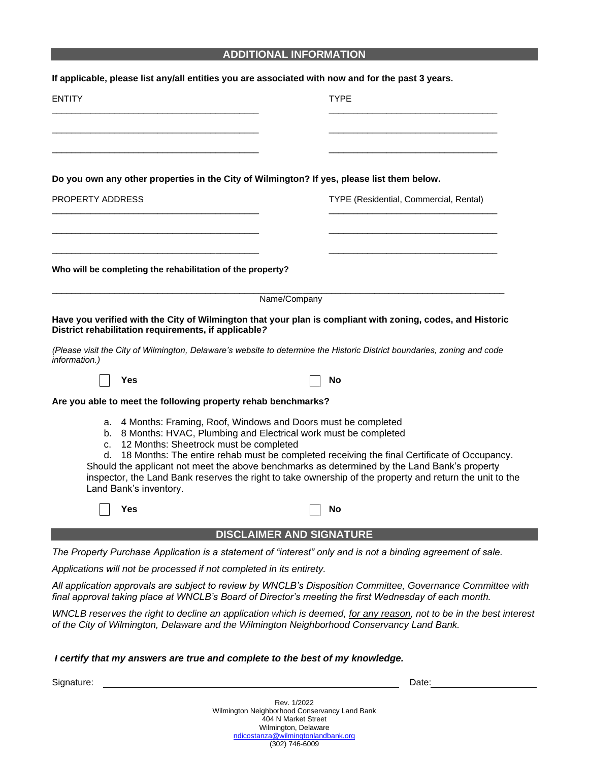## **ADDITIONAL INFORMATION**

|                  |                                                                                                                                                                                                             |                                 | If applicable, please list any/all entities you are associated with now and for the past 3 years.                                                                                                                                                                                                          |
|------------------|-------------------------------------------------------------------------------------------------------------------------------------------------------------------------------------------------------------|---------------------------------|------------------------------------------------------------------------------------------------------------------------------------------------------------------------------------------------------------------------------------------------------------------------------------------------------------|
| <b>ENTITY</b>    |                                                                                                                                                                                                             |                                 | <b>TYPE</b>                                                                                                                                                                                                                                                                                                |
|                  |                                                                                                                                                                                                             |                                 |                                                                                                                                                                                                                                                                                                            |
|                  | Do you own any other properties in the City of Wilmington? If yes, please list them below.                                                                                                                  |                                 |                                                                                                                                                                                                                                                                                                            |
| PROPERTY ADDRESS |                                                                                                                                                                                                             |                                 | TYPE (Residential, Commercial, Rental)                                                                                                                                                                                                                                                                     |
|                  |                                                                                                                                                                                                             |                                 |                                                                                                                                                                                                                                                                                                            |
|                  | Who will be completing the rehabilitation of the property?                                                                                                                                                  |                                 |                                                                                                                                                                                                                                                                                                            |
|                  |                                                                                                                                                                                                             | Name/Company                    |                                                                                                                                                                                                                                                                                                            |
|                  | District rehabilitation requirements, if applicable?                                                                                                                                                        |                                 | Have you verified with the City of Wilmington that your plan is compliant with zoning, codes, and Historic<br>(Please visit the City of Wilmington, Delaware's website to determine the Historic District boundaries, zoning and code                                                                      |
| information.)    | Yes                                                                                                                                                                                                         |                                 | No                                                                                                                                                                                                                                                                                                         |
|                  | Are you able to meet the following property rehab benchmarks?                                                                                                                                               |                                 |                                                                                                                                                                                                                                                                                                            |
|                  | a. 4 Months: Framing, Roof, Windows and Doors must be completed<br>b. 8 Months: HVAC, Plumbing and Electrical work must be completed<br>c. 12 Months: Sheetrock must be completed<br>Land Bank's inventory. |                                 | d. 18 Months: The entire rehab must be completed receiving the final Certificate of Occupancy.<br>Should the applicant not meet the above benchmarks as determined by the Land Bank's property<br>inspector, the Land Bank reserves the right to take ownership of the property and return the unit to the |
|                  | Yes                                                                                                                                                                                                         |                                 | No                                                                                                                                                                                                                                                                                                         |
|                  |                                                                                                                                                                                                             | <b>DISCLAIMER AND SIGNATURE</b> |                                                                                                                                                                                                                                                                                                            |
|                  |                                                                                                                                                                                                             |                                 | The Property Purchase Application is a statement of "interest" only and is not a binding agreement of sale.                                                                                                                                                                                                |
|                  | Applications will not be processed if not completed in its entirety.                                                                                                                                        |                                 |                                                                                                                                                                                                                                                                                                            |
|                  |                                                                                                                                                                                                             |                                 | All application approvals are subject to review by WNCLB's Disposition Committee, Governance Committee with<br>final approval taking place at WNCLB's Board of Director's meeting the first Wednesday of each month.                                                                                       |
|                  |                                                                                                                                                                                                             |                                 | WNCLB reserves the right to decline an application which is deemed, for any reason, not to be in the best interesi<br>of the City of Wilmington, Delaware and the Wilmington Neighborhood Conservancy Land Bank.                                                                                           |

#### *I certify that my answers are true and complete to the best of my knowledge.*

Signature: Date: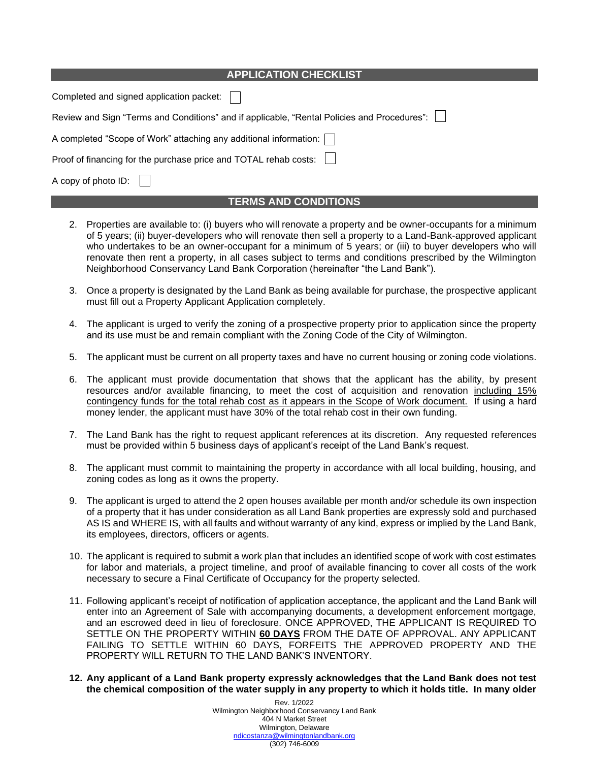| <b>APPLICATION CHECKLIST</b>                                                                |  |  |  |
|---------------------------------------------------------------------------------------------|--|--|--|
| Completed and signed application packet:                                                    |  |  |  |
| Review and Sign "Terms and Conditions" and if applicable, "Rental Policies and Procedures": |  |  |  |
| A completed "Scope of Work" attaching any additional information:                           |  |  |  |
| Proof of financing for the purchase price and TOTAL rehab costs:                            |  |  |  |
| A copy of photo ID:                                                                         |  |  |  |
| <b>TERMS AND CONDITIONS</b>                                                                 |  |  |  |

- 2. Properties are available to: (i) buyers who will renovate a property and be owner-occupants for a minimum of 5 years; (ii) buyer-developers who will renovate then sell a property to a Land-Bank-approved applicant who undertakes to be an owner-occupant for a minimum of 5 years; or (iii) to buyer developers who will renovate then rent a property, in all cases subject to terms and conditions prescribed by the Wilmington Neighborhood Conservancy Land Bank Corporation (hereinafter "the Land Bank").
- 3. Once a property is designated by the Land Bank as being available for purchase, the prospective applicant must fill out a Property Applicant Application completely.
- 4. The applicant is urged to verify the zoning of a prospective property prior to application since the property and its use must be and remain compliant with the Zoning Code of the City of Wilmington.
- 5. The applicant must be current on all property taxes and have no current housing or zoning code violations.
- 6. The applicant must provide documentation that shows that the applicant has the ability, by present resources and/or available financing, to meet the cost of acquisition and renovation including 15% contingency funds for the total rehab cost as it appears in the Scope of Work document. If using a hard money lender, the applicant must have 30% of the total rehab cost in their own funding.
- 7. The Land Bank has the right to request applicant references at its discretion. Any requested references must be provided within 5 business days of applicant's receipt of the Land Bank's request.
- 8. The applicant must commit to maintaining the property in accordance with all local building, housing, and zoning codes as long as it owns the property.
- 9. The applicant is urged to attend the 2 open houses available per month and/or schedule its own inspection of a property that it has under consideration as all Land Bank properties are expressly sold and purchased AS IS and WHERE IS, with all faults and without warranty of any kind, express or implied by the Land Bank, its employees, directors, officers or agents.
- 10. The applicant is required to submit a work plan that includes an identified scope of work with cost estimates for labor and materials, a project timeline, and proof of available financing to cover all costs of the work necessary to secure a Final Certificate of Occupancy for the property selected.
- 11. Following applicant's receipt of notification of application acceptance, the applicant and the Land Bank will enter into an Agreement of Sale with accompanying documents, a development enforcement mortgage, and an escrowed deed in lieu of foreclosure. ONCE APPROVED, THE APPLICANT IS REQUIRED TO SETTLE ON THE PROPERTY WITHIN **60 DAYS** FROM THE DATE OF APPROVAL. ANY APPLICANT FAILING TO SETTLE WITHIN 60 DAYS, FORFEITS THE APPROVED PROPERTY AND THE PROPERTY WILL RETURN TO THE LAND BANK'S INVENTORY.
- **12. Any applicant of a Land Bank property expressly acknowledges that the Land Bank does not test the chemical composition of the water supply in any property to which it holds title. In many older**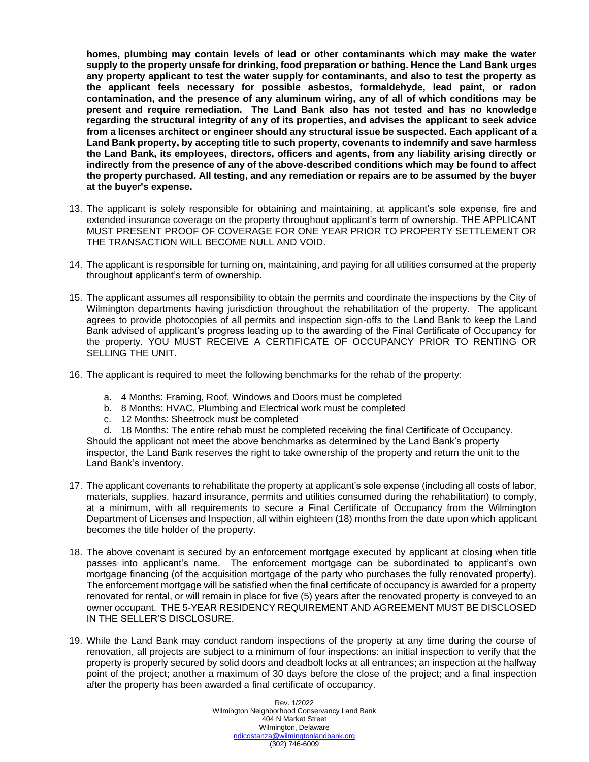**homes, plumbing may contain levels of lead or other contaminants which may make the water supply to the property unsafe for drinking, food preparation or bathing. Hence the Land Bank urges any property applicant to test the water supply for contaminants, and also to test the property as the applicant feels necessary for possible asbestos, formaldehyde, lead paint, or radon contamination, and the presence of any aluminum wiring, any of all of which conditions may be present and require remediation. The Land Bank also has not tested and has no knowledge regarding the structural integrity of any of its properties, and advises the applicant to seek advice from a licenses architect or engineer should any structural issue be suspected. Each applicant of a Land Bank property, by accepting title to such property, covenants to indemnify and save harmless the Land Bank, its employees, directors, officers and agents, from any liability arising directly or indirectly from the presence of any of the above-described conditions which may be found to affect the property purchased. All testing, and any remediation or repairs are to be assumed by the buyer at the buyer's expense.**

- 13. The applicant is solely responsible for obtaining and maintaining, at applicant's sole expense, fire and extended insurance coverage on the property throughout applicant's term of ownership. THE APPLICANT MUST PRESENT PROOF OF COVERAGE FOR ONE YEAR PRIOR TO PROPERTY SETTLEMENT OR THE TRANSACTION WILL BECOME NULL AND VOID.
- 14. The applicant is responsible for turning on, maintaining, and paying for all utilities consumed at the property throughout applicant's term of ownership.
- 15. The applicant assumes all responsibility to obtain the permits and coordinate the inspections by the City of Wilmington departments having jurisdiction throughout the rehabilitation of the property. The applicant agrees to provide photocopies of all permits and inspection sign-offs to the Land Bank to keep the Land Bank advised of applicant's progress leading up to the awarding of the Final Certificate of Occupancy for the property. YOU MUST RECEIVE A CERTIFICATE OF OCCUPANCY PRIOR TO RENTING OR SELLING THE UNIT.
- 16. The applicant is required to meet the following benchmarks for the rehab of the property:
	- a. 4 Months: Framing, Roof, Windows and Doors must be completed
	- b. 8 Months: HVAC, Plumbing and Electrical work must be completed
	- c. 12 Months: Sheetrock must be completed

d. 18 Months: The entire rehab must be completed receiving the final Certificate of Occupancy. Should the applicant not meet the above benchmarks as determined by the Land Bank's property inspector, the Land Bank reserves the right to take ownership of the property and return the unit to the Land Bank's inventory.

- 17. The applicant covenants to rehabilitate the property at applicant's sole expense (including all costs of labor, materials, supplies, hazard insurance, permits and utilities consumed during the rehabilitation) to comply, at a minimum, with all requirements to secure a Final Certificate of Occupancy from the Wilmington Department of Licenses and Inspection, all within eighteen (18) months from the date upon which applicant becomes the title holder of the property.
- 18. The above covenant is secured by an enforcement mortgage executed by applicant at closing when title passes into applicant's name. The enforcement mortgage can be subordinated to applicant's own mortgage financing (of the acquisition mortgage of the party who purchases the fully renovated property). The enforcement mortgage will be satisfied when the final certificate of occupancy is awarded for a property renovated for rental, or will remain in place for five (5) years after the renovated property is conveyed to an owner occupant. THE 5-YEAR RESIDENCY REQUIREMENT AND AGREEMENT MUST BE DISCLOSED IN THE SELLER'S DISCLOSURE.
- 19. While the Land Bank may conduct random inspections of the property at any time during the course of renovation, all projects are subject to a minimum of four inspections: an initial inspection to verify that the property is properly secured by solid doors and deadbolt locks at all entrances; an inspection at the halfway point of the project; another a maximum of 30 days before the close of the project; and a final inspection after the property has been awarded a final certificate of occupancy.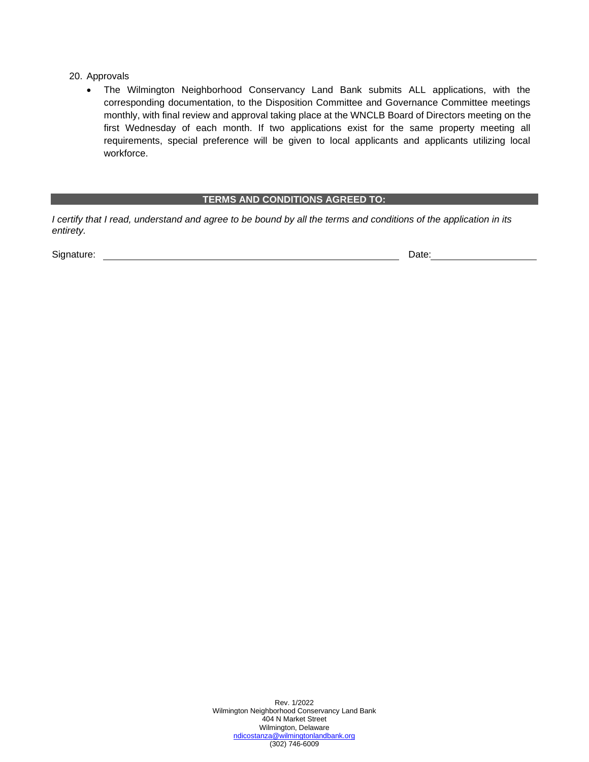20. Approvals

• The Wilmington Neighborhood Conservancy Land Bank submits ALL applications, with the corresponding documentation, to the Disposition Committee and Governance Committee meetings monthly, with final review and approval taking place at the WNCLB Board of Directors meeting on the first Wednesday of each month. If two applications exist for the same property meeting all requirements, special preference will be given to local applicants and applicants utilizing local workforce.

#### **TERMS AND CONDITIONS AGREED TO:**

*I certify that I read, understand and agree to be bound by all the terms and conditions of the application in its entirety.* 

Signature: Date: Date: Date: Date: Date: Date: Date: Date: Date: Date: Date: Date: Date: Date: Date: Date: Date: Date: Date: Date: Date: Date: Date: Date: Date: Date: Date: Date: Date: Date: Date: Date: Date: Date: Date: D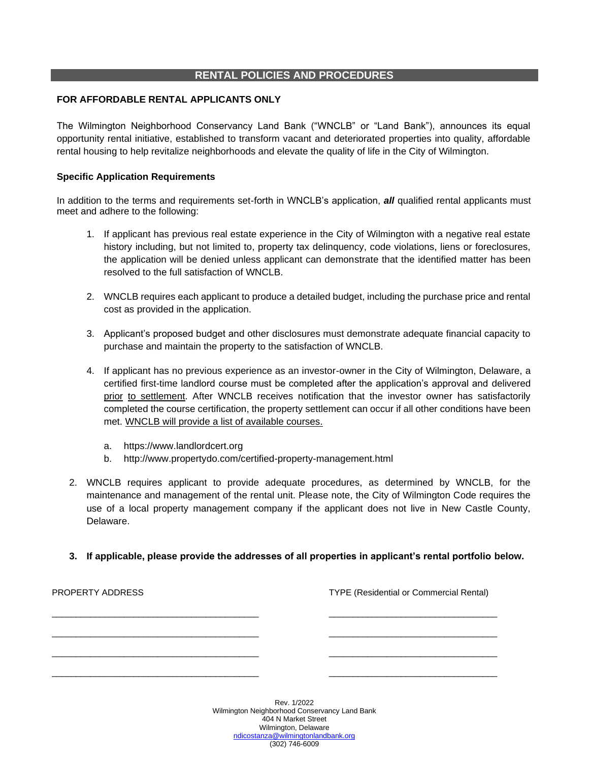## **RENTAL POLICIES AND PROCEDURES**

### **FOR AFFORDABLE RENTAL APPLICANTS ONLY**

The Wilmington Neighborhood Conservancy Land Bank ("WNCLB" or "Land Bank"), announces its equal opportunity rental initiative, established to transform vacant and deteriorated properties into quality, affordable rental housing to help revitalize neighborhoods and elevate the quality of life in the City of Wilmington.

#### **Specific Application Requirements**

In addition to the terms and requirements set-forth in WNCLB's application, *all* qualified rental applicants must meet and adhere to the following:

- 1. If applicant has previous real estate experience in the City of Wilmington with a negative real estate history including, but not limited to, property tax delinquency, code violations, liens or foreclosures, the application will be denied unless applicant can demonstrate that the identified matter has been resolved to the full satisfaction of WNCLB.
- 2. WNCLB requires each applicant to produce a detailed budget, including the purchase price and rental cost as provided in the application.
- 3. Applicant's proposed budget and other disclosures must demonstrate adequate financial capacity to purchase and maintain the property to the satisfaction of WNCLB.
- 4. If applicant has no previous experience as an investor-owner in the City of Wilmington, Delaware, a certified first-time landlord course must be completed after the application's approval and delivered prior to settlement. After WNCLB receives notification that the investor owner has satisfactorily completed the course certification, the property settlement can occur if all other conditions have been met. WNCLB will provide a list of available courses.
	- a. [https://www.landlordcert.org](https://www.landlordcert.org/)
	- b. http://www.propertydo.com/certified-property-management.html
- 2. WNCLB requires applicant to provide adequate procedures, as determined by WNCLB, for the maintenance and management of the rental unit. Please note, the City of Wilmington Code requires the use of a local property management company if the applicant does not live in New Castle County, Delaware.
- **3. If applicable, please provide the addresses of all properties in applicant's rental portfolio below.**

| PROPERTY ADDRESS |                                                                                     | <b>TYPE (Residential or Commercial Rental)</b> |
|------------------|-------------------------------------------------------------------------------------|------------------------------------------------|
|                  |                                                                                     |                                                |
|                  |                                                                                     |                                                |
|                  |                                                                                     |                                                |
|                  | Rev. 1/2022<br>Wilmington Neighborhood Conservancy Land Bank<br>404 N Market Street |                                                |

Wilmington, Delaware [ndicostanza@wilmingtonlandbank.org](mailto:ndicostanza@wilmingtonlandbank.or) (302) 746-6009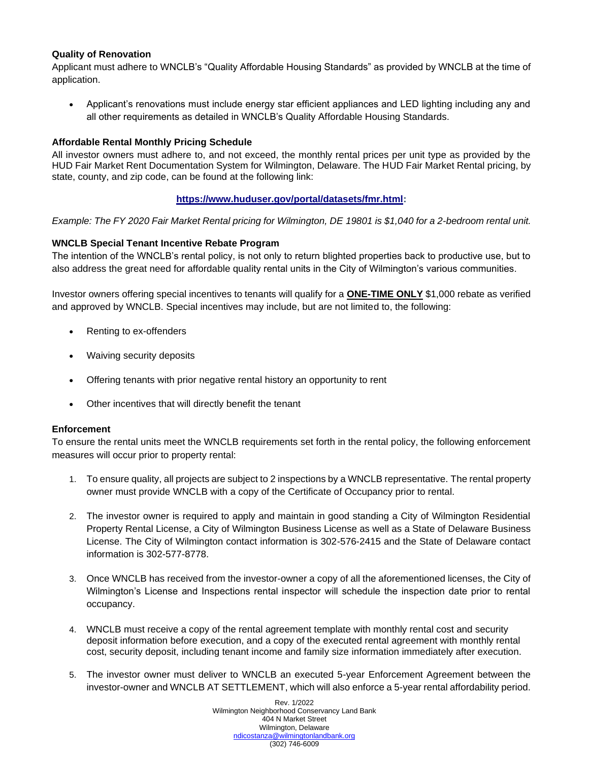## **Quality of Renovation**

Applicant must adhere to WNCLB's "Quality Affordable Housing Standards" as provided by WNCLB at the time of application.

• Applicant's renovations must include energy star efficient appliances and LED lighting including any and all other requirements as detailed in WNCLB's Quality Affordable Housing Standards.

#### **Affordable Rental Monthly Pricing Schedule**

All investor owners must adhere to, and not exceed, the monthly rental prices per unit type as provided by the HUD Fair Market Rent Documentation System for Wilmington, Delaware. The HUD Fair Market Rental pricing, by state, county, and zip code, can be found at the following link:

#### **[https://www.huduser.gov/portal/datasets/fmr.html:](about:blank)**

*Example: The FY 2020 Fair Market Rental pricing for Wilmington, DE 19801 is \$1,040 for a 2-bedroom rental unit.*

#### **WNCLB Special Tenant Incentive Rebate Program**

The intention of the WNCLB's rental policy, is not only to return blighted properties back to productive use, but to also address the great need for affordable quality rental units in the City of Wilmington's various communities.

Investor owners offering special incentives to tenants will qualify for a **ONE-TIME ONLY** \$1,000 rebate as verified and approved by WNCLB. Special incentives may include, but are not limited to, the following:

- Renting to ex-offenders
- Waiving security deposits
- Offering tenants with prior negative rental history an opportunity to rent
- Other incentives that will directly benefit the tenant

#### **Enforcement**

To ensure the rental units meet the WNCLB requirements set forth in the rental policy, the following enforcement measures will occur prior to property rental:

- 1. To ensure quality, all projects are subject to 2 inspections by a WNCLB representative. The rental property owner must provide WNCLB with a copy of the Certificate of Occupancy prior to rental.
- 2. The investor owner is required to apply and maintain in good standing a City of Wilmington Residential Property Rental License, a City of Wilmington Business License as well as a State of Delaware Business License. The City of Wilmington contact information is 302-576-2415 and the State of Delaware contact information is 302-577-8778.
- 3. Once WNCLB has received from the investor-owner a copy of all the aforementioned licenses, the City of Wilmington's License and Inspections rental inspector will schedule the inspection date prior to rental occupancy.
- 4. WNCLB must receive a copy of the rental agreement template with monthly rental cost and security deposit information before execution, and a copy of the executed rental agreement with monthly rental cost, security deposit, including tenant income and family size information immediately after execution.
- 5. The investor owner must deliver to WNCLB an executed 5-year Enforcement Agreement between the investor-owner and WNCLB AT SETTLEMENT, which will also enforce a 5-year rental affordability period.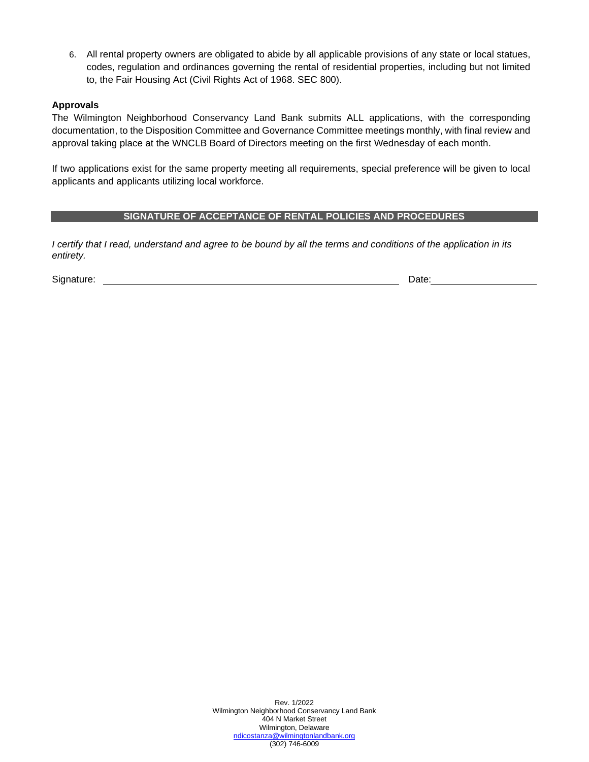6. All rental property owners are obligated to abide by all applicable provisions of any state or local statues, codes, regulation and ordinances governing the rental of residential properties, including but not limited to, the Fair Housing Act (Civil Rights Act of 1968. SEC 800).

## **Approvals**

The Wilmington Neighborhood Conservancy Land Bank submits ALL applications, with the corresponding documentation, to the Disposition Committee and Governance Committee meetings monthly, with final review and approval taking place at the WNCLB Board of Directors meeting on the first Wednesday of each month.

If two applications exist for the same property meeting all requirements, special preference will be given to local applicants and applicants utilizing local workforce.

### **SIGNATURE OF ACCEPTANCE OF RENTAL POLICIES AND PROCEDURES**

*I certify that I read, understand and agree to be bound by all the terms and conditions of the application in its entirety.* 

Signature: Date: Description of the contract of the contract of the contract of the contract of the contract of the contract of the contract of the contract of the contract of the contract of the contract of the contract o